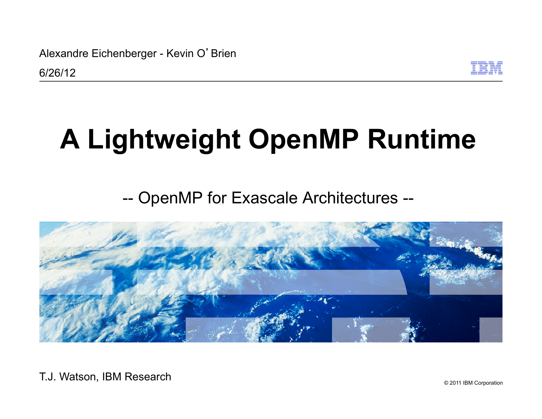Alexandre Eichenberger - Kevin O'Brien



# **A Lightweight OpenMP Runtime**

### -- OpenMP for Exascale Architectures --



© 2011 IBM Corporation T.J. Watson, IBM Research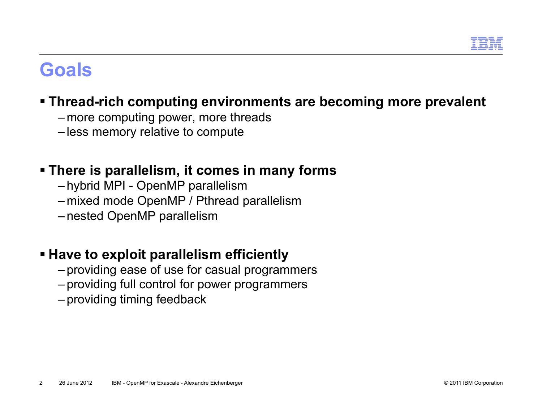

### **Goals**

### **Thread-rich computing environments are becoming more prevalent**

- more computing power, more threads
- less memory relative to compute

### **There is parallelism, it comes in many forms**

- hybrid MPI OpenMP parallelism
- mixed mode OpenMP / Pthread parallelism
- nested OpenMP parallelism

### **Have to exploit parallelism efficiently**

- providing ease of use for casual programmers
- providing full control for power programmers
- providing timing feedback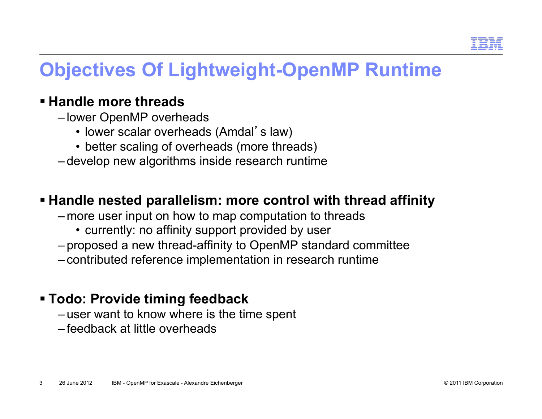

### **Objectives Of Lightweight-OpenMP Runtime**

#### **Handle more threads**

- lower OpenMP overheads
	- lower scalar overheads (Amdal's law)
	- better scaling of overheads (more threads)
- develop new algorithms inside research runtime

#### **Handle nested parallelism: more control with thread affinity**

- more user input on how to map computation to threads
	- currently: no affinity support provided by user
- proposed a new thread-affinity to OpenMP standard committee
- contributed reference implementation in research runtime

#### **Todo: Provide timing feedback**

- user want to know where is the time spent
- feedback at little overheads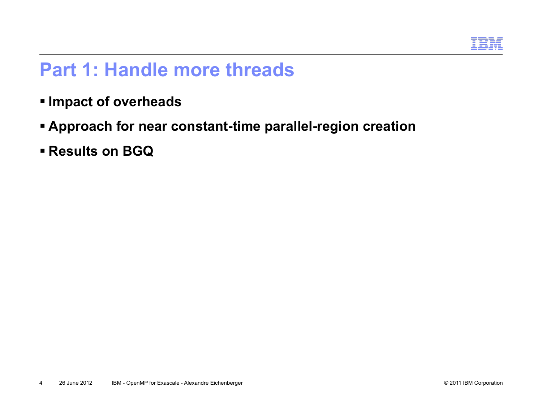

### **Part 1: Handle more threads**

- **Impact of overheads**
- **Approach for near constant-time parallel-region creation**
- **Results on BGQ**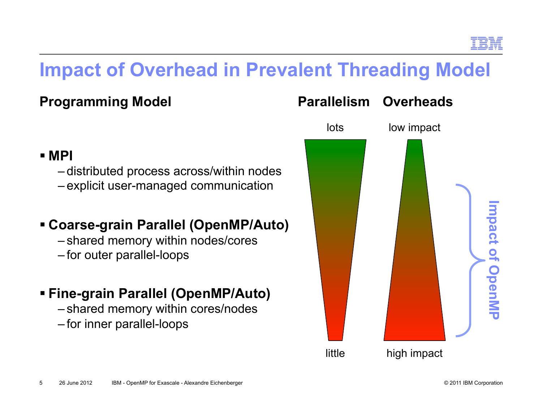### **Impact of Overhead in Prevalent Threading Model**

### **Programming Model**

#### **MPI**

– distributed process across/within nodes – explicit user-managed communication

### **Coarse-grain Parallel (OpenMP/Auto)**

- shared memory within nodes/cores
- for outer parallel-loops

### **Fine-grain Parallel (OpenMP/Auto)**

– shared memory within cores/nodes – for inner parallel-loops

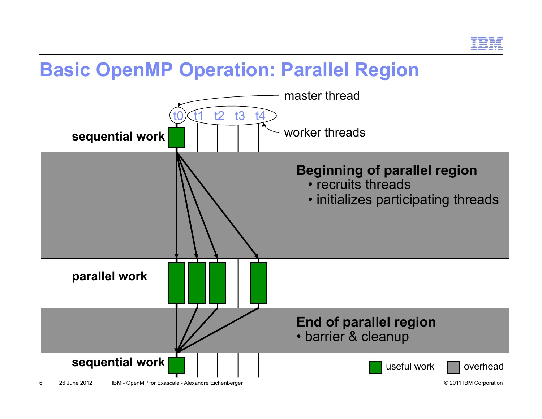

### **Basic OpenMP Operation: Parallel Region**

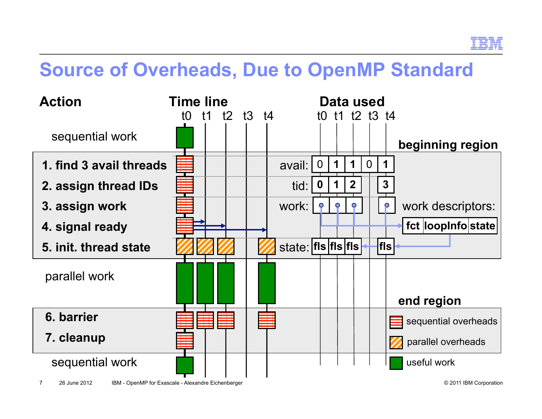

### **Source of Overheads, Due to OpenMP Standard**

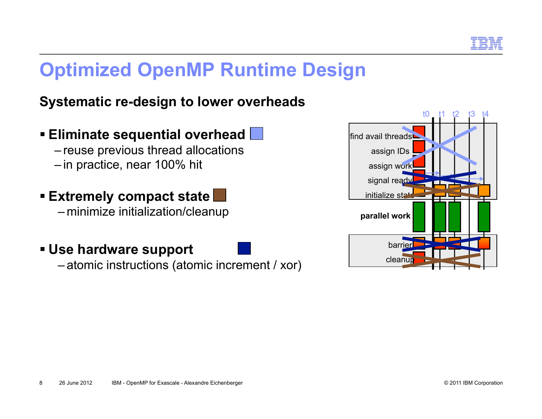

### **Optimized OpenMP Runtime Design**

### **Systematic re-design to lower overheads**

- **Eliminate sequential overhead**  – reuse previous thread allocations – in practice, near 100% hit
- **Extremely compact state**  – minimize initialization/cleanup
- **Use hardware support**

– atomic instructions (atomic increment / xor)

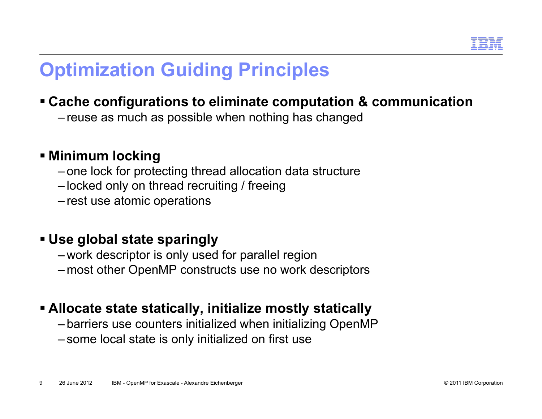

### **Optimization Guiding Principles**

### **Cache configurations to eliminate computation & communication**

– reuse as much as possible when nothing has changed

### **Minimum locking**

- one lock for protecting thread allocation data structure
- locked only on thread recruiting / freeing
- rest use atomic operations

#### **Use global state sparingly**

- work descriptor is only used for parallel region
- most other OpenMP constructs use no work descriptors

### **Allocate state statically, initialize mostly statically**

- barriers use counters initialized when initializing OpenMP
- some local state is only initialized on first use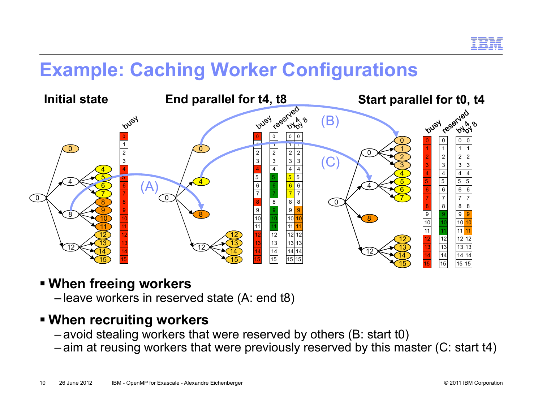

### **Example: Caching Worker Configurations**



#### **When freeing workers**

– leave workers in reserved state (A: end t8)

### **When recruiting workers**

- avoid stealing workers that were reserved by others (B: start t0)
- aim at reusing workers that were previously reserved by this master (C: start t4)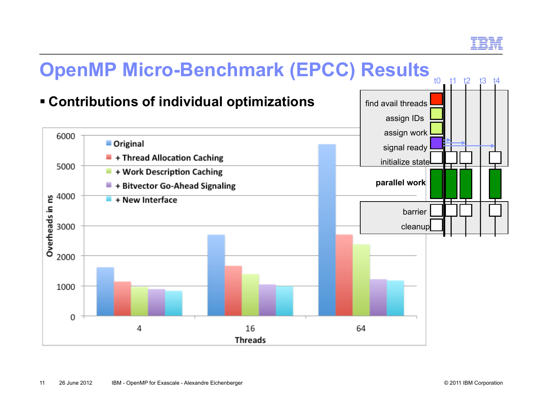

## **OpenMP Micro-Benchmark (EPCC) Results**

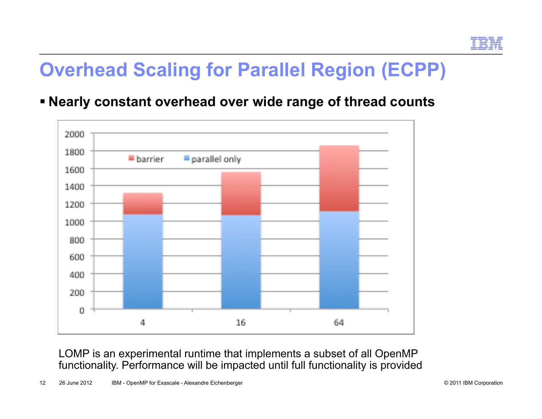### **Overhead Scaling for Parallel Region (ECPP)**

**Nearly constant overhead over wide range of thread counts** 



LOMP is an experimental runtime that implements a subset of all OpenMP functionality. Performance will be impacted until full functionality is provided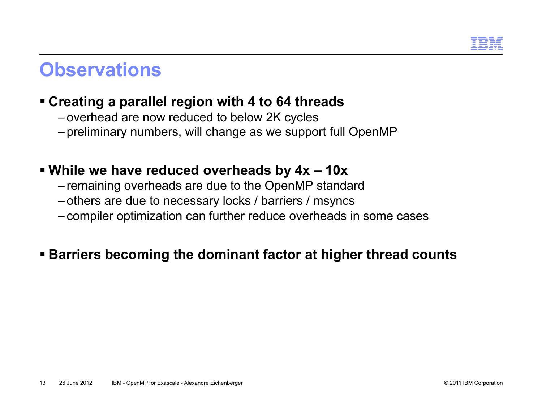

### **Observations**

### **Creating a parallel region with 4 to 64 threads**

- overhead are now reduced to below 2K cycles
- preliminary numbers, will change as we support full OpenMP

#### **While we have reduced overheads by 4x – 10x**

- remaining overheads are due to the OpenMP standard
- others are due to necessary locks / barriers / msyncs
- compiler optimization can further reduce overheads in some cases

### **Barriers becoming the dominant factor at higher thread counts**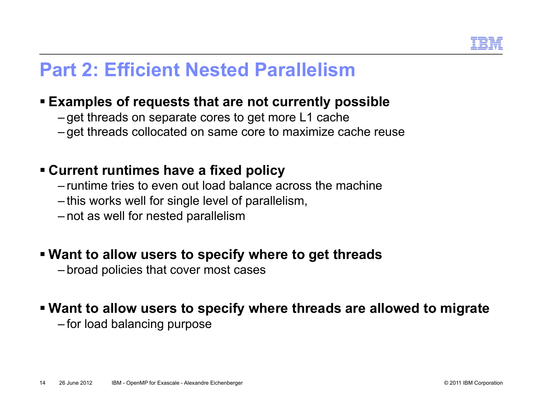

### **Part 2: Efficient Nested Parallelism**

#### **Examples of requests that are not currently possible**

- get threads on separate cores to get more L1 cache
- get threads collocated on same core to maximize cache reuse

#### **Current runtimes have a fixed policy**

- runtime tries to even out load balance across the machine
- this works well for single level of parallelism,
- not as well for nested parallelism

#### **Want to allow users to specify where to get threads**

– broad policies that cover most cases

#### **Want to allow users to specify where threads are allowed to migrate**

– for load balancing purpose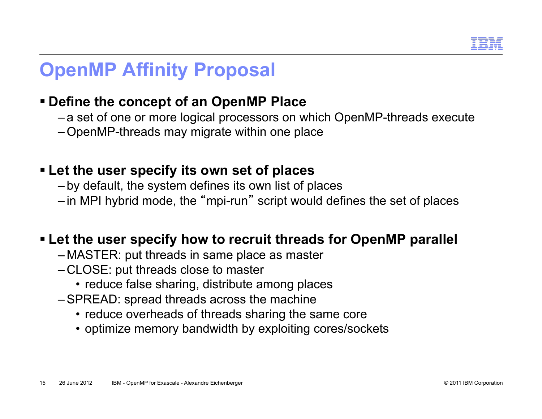

### **OpenMP Affinity Proposal**

### **Define the concept of an OpenMP Place**

- a set of one or more logical processors on which OpenMP-threads execute
- OpenMP-threads may migrate within one place

### **Let the user specify its own set of places**

- by default, the system defines its own list of places
- in MPI hybrid mode, the "mpi-run " script would defines the set of places

#### **Let the user specify how to recruit threads for OpenMP parallel**

- MASTER: put threads in same place as master
- CLOSE: put threads close to master
	- reduce false sharing, distribute among places
- –SPREAD: spread threads across the machine
	- reduce overheads of threads sharing the same core
	- optimize memory bandwidth by exploiting cores/sockets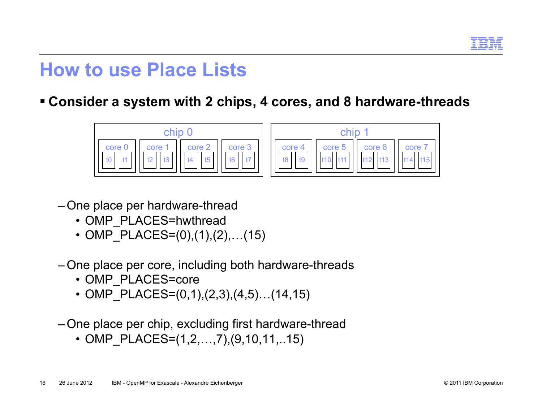

### **How to use Place Lists**

**Consider a system with 2 chips, 4 cores, and 8 hardware-threads** 





- One place per hardware-thread
	- OMP\_PLACES=hwthread
	- OMP PLACES= $(0), (1), (2), \ldots (15)$
- One place per core, including both hardware-threads
	- OMP PLACES=core
	- OMP PLACES= $(0,1),(2,3),(4,5)...(14,15)$
- One place per chip, excluding first hardware-thread
	- OMP PLACES= $(1,2,...,7),(9,10,11,...15)$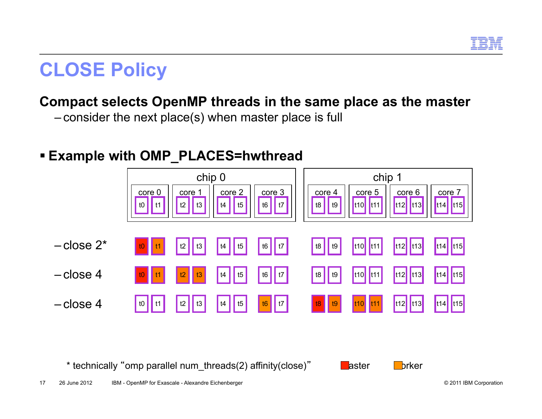

### **CLOSE Policy**

### **Compact selects OpenMP threads in the same place as the master**

– consider the next place(s) when master place is full

### **Example with OMP\_PLACES=hwthread**



\* technically "omp parallel num\_threads(2) affinity(close)" aster worker



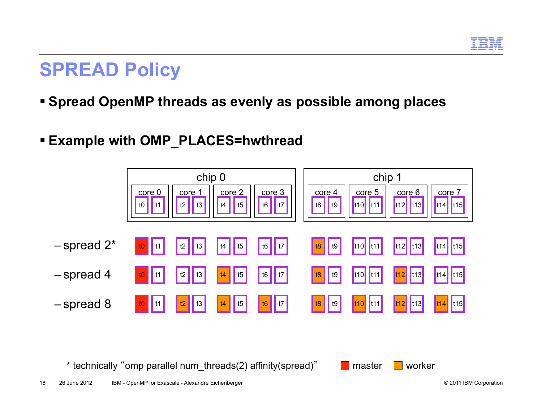

### **SPREAD Policy**

### **Spread OpenMP threads as evenly as possible among places**

### **Example with OMP\_PLACES=hwthread**



\* technically "omp parallel num\_threads(2) affinity(spread)" and master worker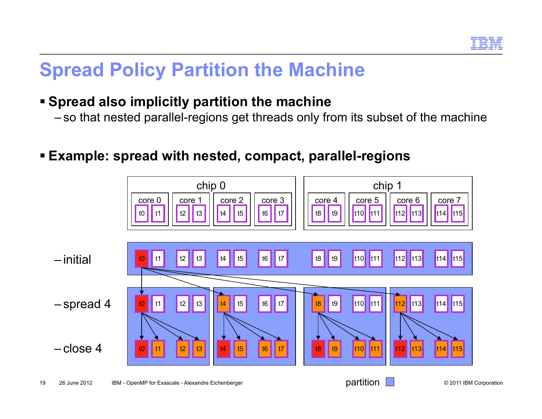

### **Spread Policy Partition the Machine**

### **Spread also implicitly partition the machine**

– so that nested parallel-regions get threads only from its subset of the machine

**Example: spread with nested, compact, parallel-regions** 

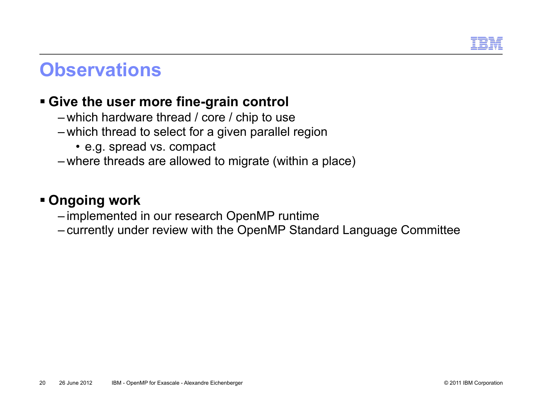

### **Observations**

#### **Give the user more fine-grain control**

- which hardware thread / core / chip to use
- which thread to select for a given parallel region
	- e.g. spread vs. compact
- where threads are allowed to migrate (within a place)

#### **Ongoing work**

- implemented in our research OpenMP runtime
- currently under review with the OpenMP Standard Language Committee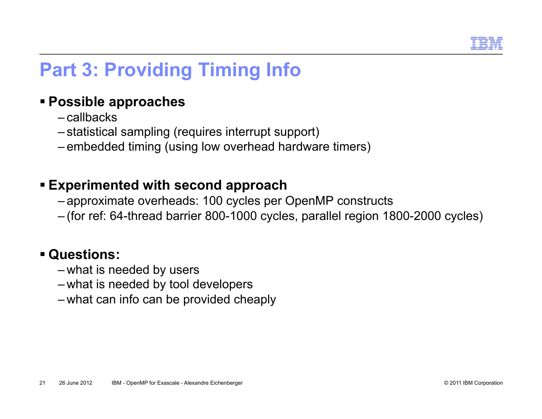

### **Part 3: Providing Timing Info**

#### **Possible approaches**

- callbacks
- statistical sampling (requires interrupt support)
- embedded timing (using low overhead hardware timers)

#### **Experimented with second approach**

- approximate overheads: 100 cycles per OpenMP constructs
- (for ref: 64-thread barrier 800-1000 cycles, parallel region 1800-2000 cycles)

#### **Questions:**

- what is needed by users
- what is needed by tool developers
- what can info can be provided cheaply